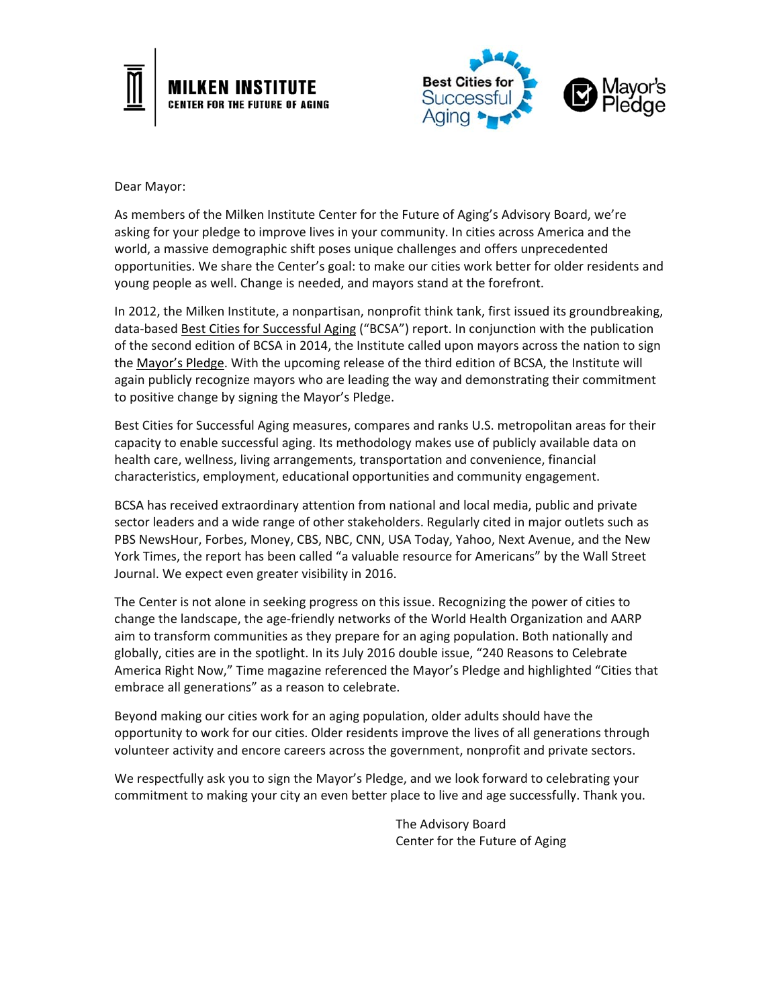



Dear Mayor:

As members of the Milken Institute Center for the Future of Aging's Advisory Board, we're asking for your pledge to improve lives in your community. In cities across America and the world, a massive demographic shift poses unique challenges and offers unprecedented opportunities. We share the Center's goal: to make our cities work better for older residents and young people as well. Change is needed, and mayors stand at the forefront.

In 2012, the Milken Institute, a nonpartisan, nonprofit think tank, first issued its groundbreaking, data-based **Best Cities for Successful Aging** ("BCSA") report. In conjunction with the publication of the second edition of BCSA in 2014, the Institute called upon mayors across the nation to sign the Mayor's Pledge. With the upcoming release of the third edition of BCSA, the Institute will again publicly recognize mayors who are leading the way and demonstrating their commitment to positive change by signing the Mayor's Pledge.

Best Cities for Successful Aging measures, compares and ranks U.S. metropolitan areas for their capacity to enable successful aging. Its methodology makes use of publicly available data on health care, wellness, living arrangements, transportation and convenience, financial characteristics, employment, educational opportunities and community engagement.

BCSA has received extraordinary attention from national and local media, public and private sector leaders and a wide range of other stakeholders. Regularly cited in major outlets such as PBS NewsHour, Forbes, Money, CBS, NBC, CNN, USA Today, Yahoo, Next Avenue, and the New York Times, the report has been called "a valuable resource for Americans" by the Wall Street Journal. We expect even greater visibility in 2016.

The Center is not alone in seeking progress on this issue. Recognizing the power of cities to change the landscape, the age‐friendly networks of the World Health Organization and AARP aim to transform communities as they prepare for an aging population. Both nationally and globally, cities are in the spotlight. In its July 2016 double issue, "240 Reasons to Celebrate America Right Now," Time magazine referenced the Mayor's Pledge and highlighted "Cities that embrace all generations" as a reason to celebrate.

Beyond making our cities work for an aging population, older adults should have the opportunity to work for our cities. Older residents improve the lives of all generations through volunteer activity and encore careers across the government, nonprofit and private sectors.

We respectfully ask you to sign the Mayor's Pledge, and we look forward to celebrating your commitment to making your city an even better place to live and age successfully. Thank you.

> The Advisory Board Center for the Future of Aging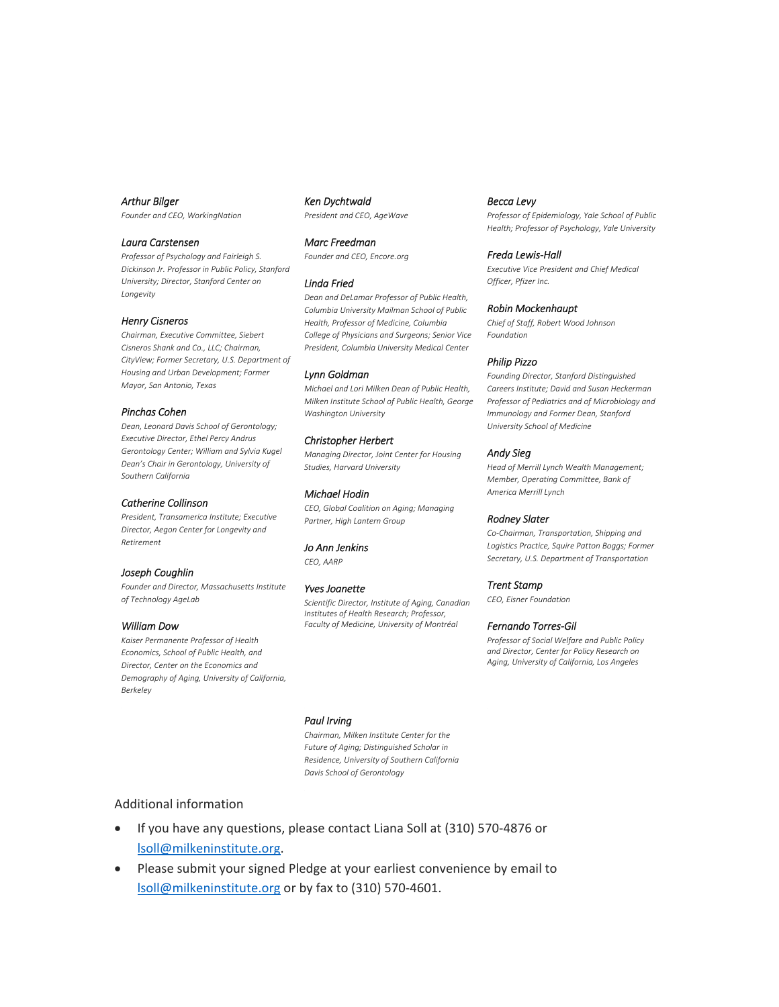# *Arthur Bilger*

*Founder and CEO, WorkingNation* 

# *Laura Carstensen*

*Professor of Psychology and Fairleigh S. Dickinson Jr. Professor in Public Policy, Stanford University; Director, Stanford Center on Longevity* 

## *Henry Cisneros*

*Chairman, Executive Committee, Siebert Cisneros Shank and Co., LLC; Chairman, CityView; Former Secretary, U.S. Department of Housing and Urban Development; Former Mayor, San Antonio, Texas* 

#### *Pinchas Cohen*

*Dean, Leonard Davis School of Gerontology; Executive Director, Ethel Percy Andrus Gerontology Center; William and Sylvia Kugel Dean's Chair in Gerontology, University of Southern California* 

## *Catherine Collinson*

*President, Transamerica Institute; Executive Director, Aegon Center for Longevity and Retirement* 

*Joseph Coughlin Founder and Director, Massachusetts Institute of Technology AgeLab* 

#### *William Dow*

*Kaiser Permanente Professor of Health Economics, School of Public Health, and Director, Center on the Economics and Demography of Aging, University of California, Berkeley* 

*Ken Dychtwald President and CEO, AgeWave* 

#### *Marc Freedman*

*Founder and CEO, Encore.org* 

#### *Linda Fried*

*Dean and DeLamar Professor of Public Health, Columbia University Mailman School of Public Health, Professor of Medicine, Columbia College of Physicians and Surgeons; Senior Vice President, Columbia University Medical Center* 

#### *Lynn Goldman*

*Michael and Lori Milken Dean of Public Health, Milken Institute School of Public Health, George Washington University* 

# *Christopher Herbert*

*Managing Director, Joint Center for Housing Studies, Harvard University* 

## *Michael Hodin*

*CEO, Global Coalition on Aging; Managing Partner, High Lantern Group* 

*Jo Ann Jenkins CEO, AARP* 

# *Yves Joanette*

*Scientific Director, Institute of Aging, Canadian Institutes of Health Research; Professor, Faculty of Medicine, University of Montréal* 

# *Becca Levy*

*Professor of Epidemiology, Yale School of Public Health; Professor of Psychology, Yale University* 

#### *Freda Lewis‐Hall*

*Executive Vice President and Chief Medical Officer, Pfizer Inc.* 

### *Robin Mockenhaupt*

*Chief of Staff, Robert Wood Johnson Foundation* 

# *Philip Pizzo*

*Founding Director, Stanford Distinguished Careers Institute; David and Susan Heckerman Professor of Pediatrics and of Microbiology and Immunology and Former Dean, Stanford University School of Medicine* 

# *Andy Sieg*

*Head of Merrill Lynch Wealth Management; Member, Operating Committee, Bank of America Merrill Lynch* 

## *Rodney Slater*

*Co‐Chairman, Transportation, Shipping and Logistics Practice, Squire Patton Boggs; Former Secretary, U.S. Department of Transportation* 

## *Trent Stamp*

*CEO, Eisner Foundation* 

#### *Fernando Torres‐Gil*

*Professor of Social Welfare and Public Policy and Director, Center for Policy Research on Aging, University of California, Los Angeles* 

## *Paul Irving*

*Chairman, Milken Institute Center for the Future of Aging; Distinguished Scholar in Residence, University of Southern California Davis School of Gerontology* 

# Additional information

- If you have any questions, please contact Liana Soll at (310) 570‐4876 or lsoll@milkeninstitute.org.
- Please submit your signed Pledge at your earliest convenience by email to lsoll@milkeninstitute.org or by fax to (310) 570‐4601.